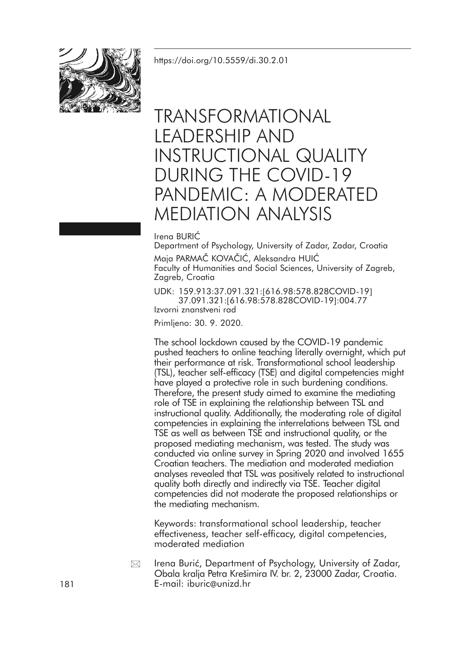<https://doi.org/10.5559/di.30.2.01>



# TRANSFORMATIONAL LEADERSHIP AND INSTRUCTIONAL QUALITY DURING THE COVID-19 PANDEMIC: A MODERATED MEDIATION ANALYSIS

### Irena BURIĆ

Department of Psychology, University of Zadar, Zadar, Croatia Maja PARMAČ KOVAČIĆ, Aleksandra HUIĆ Faculty of Humanities and Social Sciences, University of Zagreb, Zagreb, Croatia

UDK: 159.913:37.091.321:[616.98:578.828COVID-19] 37.091.321:[616.98:578.828COVID-19]:004.77 Izvorni znanstveni rad

Primljeno: 30. 9. 2020.

The school lockdown caused by the COVID-19 pandemic pushed teachers to online teaching literally overnight, which put their performance at risk. Transformational school leadership (TSL), teacher self-efficacy (TSE) and digital competencies might have played a protective role in such burdening conditions. Therefore, the present study aimed to examine the mediating role of TSE in explaining the relationship between TSL and instructional quality. Additionally, the moderating role of digital competencies in explaining the interrelations between TSL and TSE as well as between TSE and instructional quality, or the proposed mediating mechanism, was tested. The study was conducted via online survey in Spring 2020 and involved 1655 Croatian teachers. The mediation and moderated mediation analyses revealed that TSL was positively related to instructional quality both directly and indirectly via TSE. Teacher digital competencies did not moderate the proposed relationships or the mediating mechanism.

Keywords: transformational school leadership, teacher effectiveness, teacher self-efficacy, digital competencies, moderated mediation

Irena Burić, Department of Psychology, University of Zadar, Obala kralja Petra Krešimira IV. br. 2, 23000 Zadar, Croatia. 181 E-mail: iburic@unizd.hr ⊠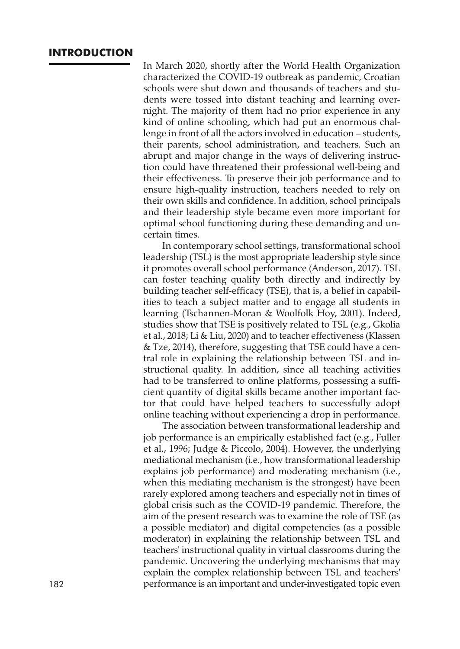# **INTRODUCTION**

In March 2020, shortly after the World Health Organization characterized the COVID-19 outbreak as pandemic, Croatian schools were shut down and thousands of teachers and students were tossed into distant teaching and learning overnight. The majority of them had no prior experience in any kind of online schooling, which had put an enormous challenge in front of all the actors involved in education – students, their parents, school administration, and teachers. Such an abrupt and major change in the ways of delivering instruction could have threatened their professional well-being and their effectiveness. To preserve their job performance and to ensure high-quality instruction, teachers needed to rely on their own skills and confidence. In addition, school principals and their leadership style became even more important for optimal school functioning during these demanding and uncertain times.

In contemporary school settings, transformational school leadership (TSL) is the most appropriate leadership style since it promotes overall school performance (Anderson, 2017). TSL can foster teaching quality both directly and indirectly by building teacher self-efficacy (TSE), that is, a belief in capabilities to teach a subject matter and to engage all students in learning (Tschannen-Moran & Woolfolk Hoy, 2001). Indeed, studies show that TSE is positively related to TSL (e.g., Gkolia et al., 2018; Li & Liu, 2020) and to teacher effectiveness (Klassen & Tze, 2014), therefore, suggesting that TSE could have a central role in explaining the relationship between TSL and instructional quality. In addition, since all teaching activities had to be transferred to online platforms, possessing a sufficient quantity of digital skills became another important factor that could have helped teachers to successfully adopt online teaching without experiencing a drop in performance.

The association between transformational leadership and job performance is an empirically established fact (e.g., Fuller et al., 1996; Judge & Piccolo, 2004). However, the underlying mediational mechanism (i.e., how transformational leadership explains job performance) and moderating mechanism (i.e., when this mediating mechanism is the strongest) have been rarely explored among teachers and especially not in times of global crisis such as the COVID-19 pandemic. Therefore, the aim of the present research was to examine the role of TSE (as a possible mediator) and digital competencies (as a possible moderator) in explaining the relationship between TSL and teachers' instructional quality in virtual classrooms during the pandemic. Uncovering the underlying mechanisms that may explain the complex relationship between TSL and teachers' 182 performance is an important and under-investigated topic even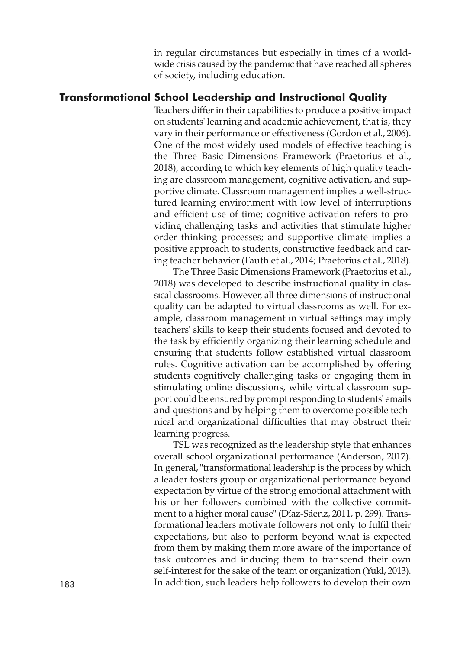in regular circumstances but especially in times of a worldwide crisis caused by the pandemic that have reached all spheres of society, including education.

# **Transformational School Leadership and Instructional Quality**

Teachers differ in their capabilities to produce a positive impact on students' learning and academic achievement, that is, they vary in their performance or effectiveness (Gordon et al., 2006). One of the most widely used models of effective teaching is the Three Basic Dimensions Framework (Praetorius et al., 2018), according to which key elements of high quality teaching are classroom management, cognitive activation, and supportive climate. Classroom management implies a well-structured learning environment with low level of interruptions and efficient use of time; cognitive activation refers to providing challenging tasks and activities that stimulate higher order thinking processes; and supportive climate implies a positive approach to students, constructive feedback and caring teacher behavior (Fauth et al., 2014; Praetorius et al., 2018).

The Three Basic Dimensions Framework (Praetorius et al., 2018) was developed to describe instructional quality in classical classrooms. However, all three dimensions of instructional quality can be adapted to virtual classrooms as well. For example, classroom management in virtual settings may imply teachers' skills to keep their students focused and devoted to the task by efficiently organizing their learning schedule and ensuring that students follow established virtual classroom rules. Cognitive activation can be accomplished by offering students cognitively challenging tasks or engaging them in stimulating online discussions, while virtual classroom support could be ensured by prompt responding to students' emails and questions and by helping them to overcome possible technical and organizational difficulties that may obstruct their learning progress.

TSL was recognized as the leadership style that enhances overall school organizational performance (Anderson, 2017). In general, "transformational leadership is the process by which a leader fosters group or organizational performance beyond expectation by virtue of the strong emotional attachment with his or her followers combined with the collective commitment to a higher moral cause" (Díaz-Sáenz, 2011, p. 299). Transformational leaders motivate followers not only to fulfil their expectations, but also to perform beyond what is expected from them by making them more aware of the importance of task outcomes and inducing them to transcend their own self-interest for the sake of the team or organization (Yukl, 2013). 183 In addition, such leaders help followers to develop their own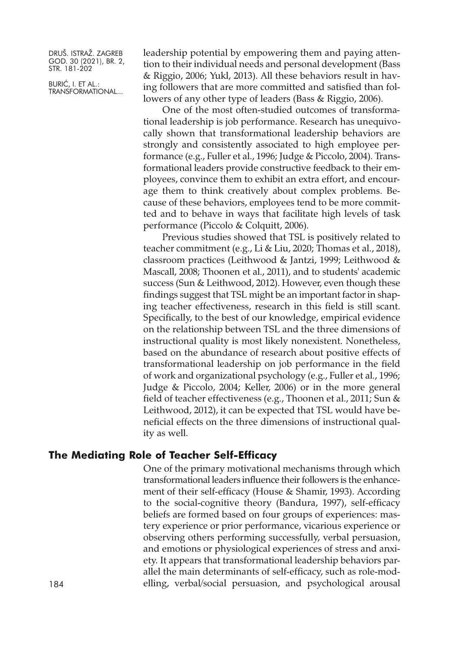BURIĆ, I. ET AL.: TRANSFORMATIONAL... leadership potential by empowering them and paying attention to their individual needs and personal development (Bass & Riggio, 2006; Yukl, 2013). All these behaviors result in having followers that are more committed and satisfied than followers of any other type of leaders (Bass & Riggio, 2006).

One of the most often-studied outcomes of transformational leadership is job performance. Research has unequivocally shown that transformational leadership behaviors are strongly and consistently associated to high employee performance (e.g., Fuller et al., 1996; Judge & Piccolo, 2004). Transformational leaders provide constructive feedback to their employees, convince them to exhibit an extra effort, and encourage them to think creatively about complex problems. Because of these behaviors, employees tend to be more committed and to behave in ways that facilitate high levels of task performance (Piccolo & Colquitt, 2006).

Previous studies showed that TSL is positively related to teacher commitment (e.g., Li & Liu, 2020; Thomas et al., 2018), classroom practices (Leithwood & Jantzi, 1999; Leithwood & Mascall, 2008; Thoonen et al., 2011), and to students' academic success (Sun & Leithwood, 2012). However, even though these findings suggest that TSL might be an important factor in shaping teacher effectiveness, research in this field is still scant. Specifically, to the best of our knowledge, empirical evidence on the relationship between TSL and the three dimensions of instructional quality is most likely nonexistent. Nonetheless, based on the abundance of research about positive effects of transformational leadership on job performance in the field of work and organizational psychology (e.g., Fuller et al., 1996; Judge & Piccolo, 2004; Keller, 2006) or in the more general field of teacher effectiveness (e.g., Thoonen et al., 2011; Sun & Leithwood, 2012), it can be expected that TSL would have beneficial effects on the three dimensions of instructional quality as well.

# **The Mediating Role of Teacher Self-Efficacy**

One of the primary motivational mechanisms through which transformational leaders influence their followers is the enhancement of their self-efficacy (House & Shamir, 1993). According to the social-cognitive theory (Bandura, 1997), self-efficacy beliefs are formed based on four groups of experiences: mastery experience or prior performance, vicarious experience or observing others performing successfully, verbal persuasion, and emotions or physiological experiences of stress and anxiety. It appears that transformational leadership behaviors parallel the main determinants of self-efficacy, such as role-mod-184 elling, verbal/social persuasion, and psychological arousal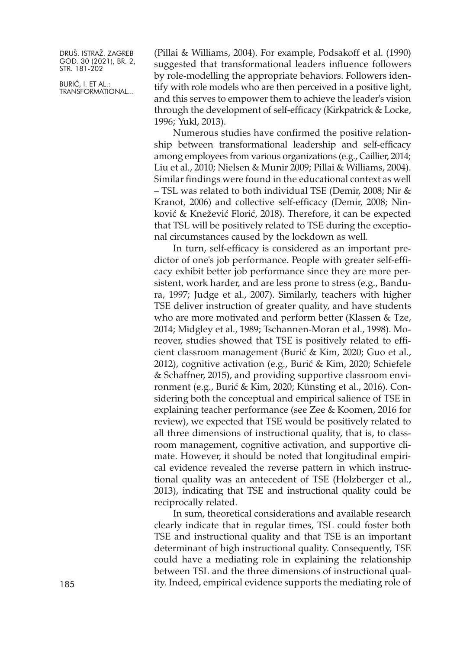BURIĆ, I. ET AL.: TRANSFORMATIONAL... (Pillai & Williams, 2004). For example, Podsakoff et al. (1990) suggested that transformational leaders influence followers by role-modelling the appropriate behaviors. Followers identify with role models who are then perceived in a positive light, and this serves to empower them to achieve the leader's vision through the development of self-efficacy (Kirkpatrick & Locke, 1996; Yukl, 2013).

Numerous studies have confirmed the positive relationship between transformational leadership and self-efficacy among employees from various organizations (e.g., Caillier, 2014; Liu et al., 2010; Nielsen & Munir 2009; Pillai & Williams, 2004). Similar findings were found in the educational context as well – TSL was related to both individual TSE (Demir, 2008; Nir & Kranot, 2006) and collective self-efficacy (Demir, 2008; Ninković & Knežević Florić, 2018). Therefore, it can be expected that TSL will be positively related to TSE during the exceptional circumstances caused by the lockdown as well.

In turn, self-efficacy is considered as an important predictor of one's job performance. People with greater self-efficacy exhibit better job performance since they are more persistent, work harder, and are less prone to stress (e.g., Bandura, 1997; Judge et al., 2007). Similarly, teachers with higher TSE deliver instruction of greater quality, and have students who are more motivated and perform better (Klassen & Tze, 2014; Midgley et al., 1989; Tschannen-Moran et al., 1998). Moreover, studies showed that TSE is positively related to efficient classroom management (Burić & Kim, 2020; Guo et al., 2012), cognitive activation (e.g., Burić & Kim, 2020; Schiefele & Schaffner, 2015), and providing supportive classroom environment (e.g., Burić & Kim, 2020; Künsting et al., 2016). Considering both the conceptual and empirical salience of TSE in explaining teacher performance (see Zee & Koomen, 2016 for review), we expected that TSE would be positively related to all three dimensions of instructional quality, that is, to classroom management, cognitive activation, and supportive climate. However, it should be noted that longitudinal empirical evidence revealed the reverse pattern in which instructional quality was an antecedent of TSE (Holzberger et al., 2013), indicating that TSE and instructional quality could be reciprocally related.

In sum, theoretical considerations and available research clearly indicate that in regular times, TSL could foster both TSE and instructional quality and that TSE is an important determinant of high instructional quality. Consequently, TSE could have a mediating role in explaining the relationship between TSL and the three dimensions of instructional quality. Indeed, empirical evidence supports the mediating role of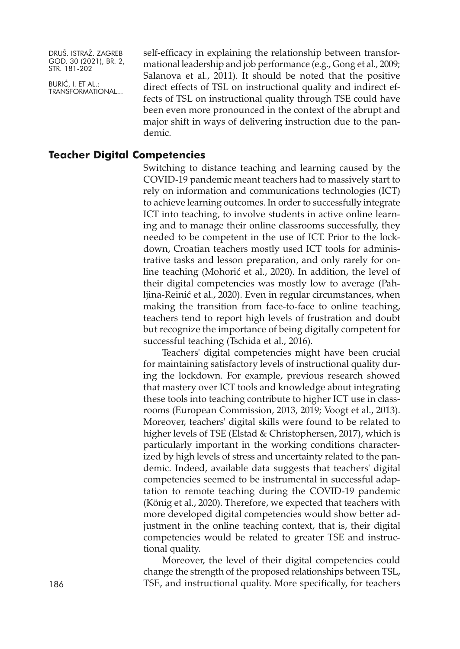BURIĆ, I. ET AL.: TRANSFORMATIONAL... self-efficacy in explaining the relationship between transformational leadership and job performance (e.g., Gong et al., 2009; Salanova et al., 2011). It should be noted that the positive direct effects of TSL on instructional quality and indirect effects of TSL on instructional quality through TSE could have been even more pronounced in the context of the abrupt and major shift in ways of delivering instruction due to the pandemic.

## **Teacher Digital Competencies**

Switching to distance teaching and learning caused by the COVID-19 pandemic meant teachers had to massively start to rely on information and communications technologies (ICT) to achieve learning outcomes. In order to successfully integrate ICT into teaching, to involve students in active online learning and to manage their online classrooms successfully, they needed to be competent in the use of ICT. Prior to the lockdown, Croatian teachers mostly used ICT tools for administrative tasks and lesson preparation, and only rarely for online teaching (Mohorić et al., 2020). In addition, the level of their digital competencies was mostly low to average (Pahljina-Reinić et al., 2020). Even in regular circumstances, when making the transition from face-to-face to online teaching, teachers tend to report high levels of frustration and doubt but recognize the importance of being digitally competent for successful teaching (Tschida et al., 2016).

Teachers' digital competencies might have been crucial for maintaining satisfactory levels of instructional quality during the lockdown. For example, previous research showed that mastery over ICT tools and knowledge about integrating these tools into teaching contribute to higher ICT use in classrooms (European Commission, 2013, 2019; Voogt et al., 2013). Moreover, teachers' digital skills were found to be related to higher levels of TSE (Elstad & Christophersen, 2017), which is particularly important in the working conditions characterized by high levels of stress and uncertainty related to the pandemic. Indeed, available data suggests that teachers' digital competencies seemed to be instrumental in successful adaptation to remote teaching during the COVID-19 pandemic (König et al., 2020). Therefore, we expected that teachers with more developed digital competencies would show better adjustment in the online teaching context, that is, their digital competencies would be related to greater TSE and instructional quality.

Moreover, the level of their digital competencies could change the strength of the proposed relationships between TSL, 186 TSE, and instructional quality. More specifically, for teachers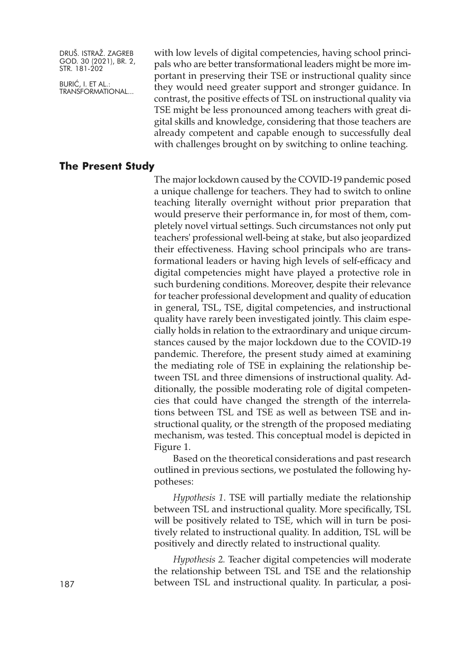BURIĆ, I. ET AL.: TRANSFORMATIONAL... with low levels of digital competencies, having school principals who are better transformational leaders might be more important in preserving their TSE or instructional quality since they would need greater support and stronger guidance. In contrast, the positive effects of TSL on instructional quality via TSE might be less pronounced among teachers with great digital skills and knowledge, considering that those teachers are already competent and capable enough to successfully deal with challenges brought on by switching to online teaching.

# **The Present Study**

The major lockdown caused by the COVID-19 pandemic posed a unique challenge for teachers. They had to switch to online teaching literally overnight without prior preparation that would preserve their performance in, for most of them, completely novel virtual settings. Such circumstances not only put teachers' professional well-being at stake, but also jeopardized their effectiveness. Having school principals who are transformational leaders or having high levels of self-efficacy and digital competencies might have played a protective role in such burdening conditions. Moreover, despite their relevance for teacher professional development and quality of education in general, TSL, TSE, digital competencies, and instructional quality have rarely been investigated jointly. This claim especially holds in relation to the extraordinary and unique circumstances caused by the major lockdown due to the COVID-19 pandemic. Therefore, the present study aimed at examining the mediating role of TSE in explaining the relationship between TSL and three dimensions of instructional quality. Additionally, the possible moderating role of digital competencies that could have changed the strength of the interrelations between TSL and TSE as well as between TSE and instructional quality, or the strength of the proposed mediating mechanism, was tested. This conceptual model is depicted in Figure 1.

Based on the theoretical considerations and past research outlined in previous sections, we postulated the following hypotheses:

*Hypothesis 1*. TSE will partially mediate the relationship between TSL and instructional quality. More specifically, TSL will be positively related to TSE, which will in turn be positively related to instructional quality. In addition, TSL will be positively and directly related to instructional quality.

*Hypothesis 2.* Teacher digital competencies will moderate the relationship between TSL and TSE and the relationship between TSL and instructional quality. In particular, a posi-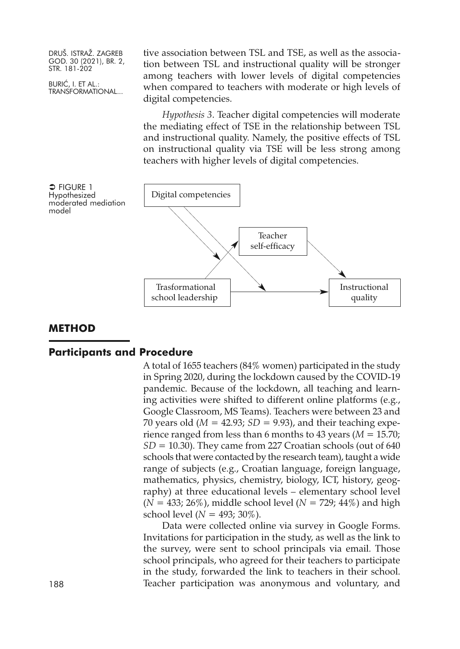BURIĆ, I. ET AL.: TRANSFORMATIONAL... tive association between TSL and TSE, as well as the association between TSL and instructional quality will be stronger among teachers with lower levels of digital competencies when compared to teachers with moderate or high levels of digital competencies.

*Hypothesis 3*. Teacher digital competencies will moderate the mediating effect of TSE in the relationship between TSL and instructional quality. Namely, the positive effects of TSL on instructional quality via TSE will be less strong among teachers with higher levels of digital competencies.



# **METHOD**

#### **Participants and Procedure**

A total of 1655 teachers (84% women) participated in the study in Spring 2020, during the lockdown caused by the COVID-19 pandemic. Because of the lockdown, all teaching and learning activities were shifted to different online platforms (e.g., Google Classroom, MS Teams). Teachers were between 23 and 70 years old (*M* = 42.93; *SD* = 9.93), and their teaching experience ranged from less than 6 months to 43 years (*M* = 15.70; *SD* = 10.30). They came from 227 Croatian schools (out of 640 schools that were contacted by the research team), taught a wide range of subjects (e.g., Croatian language, foreign language, mathematics, physics, chemistry, biology, ICT, history, geography) at three educational levels – elementary school level  $(N = 433; 26\%)$ , middle school level  $(N = 729; 44\%)$  and high school level (*N* = 493; 30%).

Data were collected online via survey in Google Forms. Invitations for participation in the study, as well as the link to the survey, were sent to school principals via email. Those school principals, who agreed for their teachers to participate in the study, forwarded the link to teachers in their school. 188 Teacher participation was anonymous and voluntary, and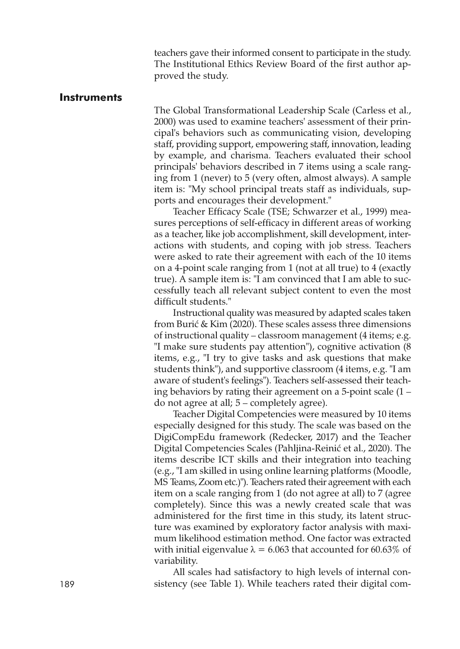teachers gave their informed consent to participate in the study. The Institutional Ethics Review Board of the first author approved the study.

#### **Instruments**

The Global Transformational Leadership Scale (Carless et al., 2000) was used to examine teachers' assessment of their principal's behaviors such as communicating vision, developing staff, providing support, empowering staff, innovation, leading by example, and charisma. Teachers evaluated their school principals' behaviors described in 7 items using a scale ranging from 1 (never) to 5 (very often, almost always). A sample item is: "My school principal treats staff as individuals, supports and encourages their development."

Teacher Efficacy Scale (TSE; Schwarzer et al., 1999) measures perceptions of self-efficacy in different areas of working as a teacher, like job accomplishment, skill development, interactions with students, and coping with job stress. Teachers were asked to rate their agreement with each of the 10 items on a 4-point scale ranging from 1 (not at all true) to 4 (exactly true). A sample item is: "I am convinced that I am able to successfully teach all relevant subject content to even the most difficult students."

Instructional quality was measured by adapted scales taken from Burić & Kim (2020). These scales assess three dimensions of instructional quality – classroom management (4 items; e.g. "I make sure students pay attention"), cognitive activation (8 items, e.g., "I try to give tasks and ask questions that make students think"), and supportive classroom (4 items, e.g. "I am aware of student's feelings"). Teachers self-assessed their teaching behaviors by rating their agreement on a 5-point scale (1 – do not agree at all; 5 – completely agree).

Teacher Digital Competencies were measured by 10 items especially designed for this study. The scale was based on the DigiCompEdu framework (Redecker, 2017) and the Teacher Digital Competencies Scales (Pahljina-Reinić et al., 2020). The items describe ICT skills and their integration into teaching (e.g., "I am skilled in using online learning platforms (Moodle, MS Teams, Zoom etc.)"). Teachers rated their agreement with each item on a scale ranging from 1 (do not agree at all) to 7 (agree completely). Since this was a newly created scale that was administered for the first time in this study, its latent structure was examined by exploratory factor analysis with maximum likelihood estimation method. One factor was extracted with initial eigenvalue  $\lambda = 6.063$  that accounted for 60.63% of variability.

All scales had satisfactory to high levels of internal con-189 sistency (see Table 1). While teachers rated their digital com-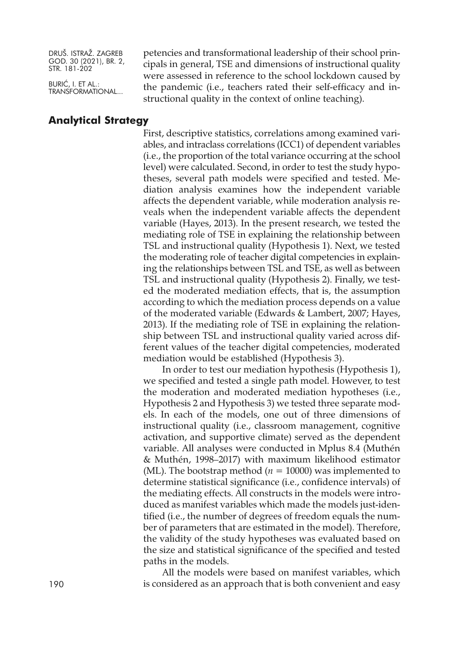BURIĆ, I. ET AL.: TRANSFORMATIONAL...

**Analytical Strategy**

petencies and transformational leadership of their school principals in general, TSE and dimensions of instructional quality were assessed in reference to the school lockdown caused by the pandemic (i.e., teachers rated their self-efficacy and instructional quality in the context of online teaching).

First, descriptive statistics, correlations among examined variables, and intraclass correlations (ICC1) of dependent variables (i.e., the proportion of the total variance occurring at the school level) were calculated. Second, in order to test the study hypotheses, several path models were specified and tested. Mediation analysis examines how the independent variable affects the dependent variable, while moderation analysis reveals when the independent variable affects the dependent variable (Hayes, 2013). In the present research, we tested the mediating role of TSE in explaining the relationship between TSL and instructional quality (Hypothesis 1). Next, we tested the moderating role of teacher digital competencies in explaining the relationships between TSL and TSE, as well as between TSL and instructional quality (Hypothesis 2). Finally, we tested the moderated mediation effects, that is, the assumption according to which the mediation process depends on a value of the moderated variable (Edwards & Lambert, 2007; Hayes, 2013). If the mediating role of TSE in explaining the relationship between TSL and instructional quality varied across different values of the teacher digital competencies, moderated mediation would be established (Hypothesis 3).

In order to test our mediation hypothesis (Hypothesis 1), we specified and tested a single path model. However, to test the moderation and moderated mediation hypotheses (i.e., Hypothesis 2 and Hypothesis 3) we tested three separate models. In each of the models, one out of three dimensions of instructional quality (i.e., classroom management, cognitive activation, and supportive climate) served as the dependent variable. All analyses were conducted in Mplus 8.4 (Muthén & Muthén, 1998–2017) with maximum likelihood estimator (ML). The bootstrap method ( $n = 10000$ ) was implemented to determine statistical significance (i.e., confidence intervals) of the mediating effects. All constructs in the models were introduced as manifest variables which made the models just-identified (i.e., the number of degrees of freedom equals the number of parameters that are estimated in the model). Therefore, the validity of the study hypotheses was evaluated based on the size and statistical significance of the specified and tested paths in the models.

All the models were based on manifest variables, which 190 is considered as an approach that is both convenient and easy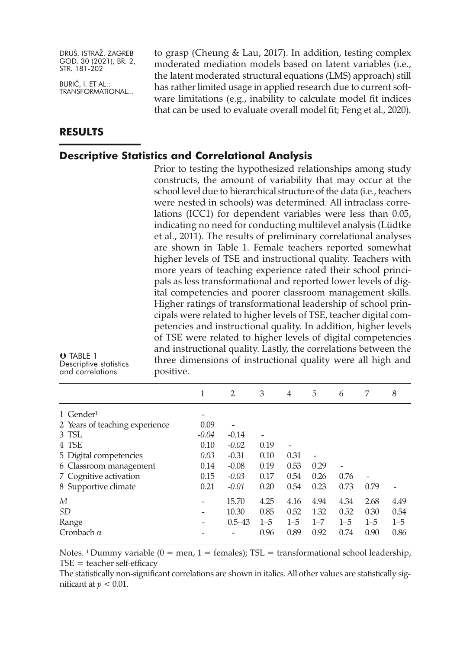BURIĆ, I. ET AL.: TRANSFORMATIONAL...

# **RESULTS**

TABLE 1

Descriptive statistics and correlations

to grasp (Cheung & Lau, 2017). In addition, testing complex moderated mediation models based on latent variables (i.e., the latent moderated structural equations (LMS) approach) still has rather limited usage in applied research due to current software limitations (e.g., inability to calculate model fit indices that can be used to evaluate overall model fit; Feng et al., 2020).

# **Descriptive Statistics and Correlational Analysis**

Prior to testing the hypothesized relationships among study constructs, the amount of variability that may occur at the school level due to hierarchical structure of the data (i.e., teachers were nested in schools) was determined. All intraclass correlations (ICC1) for dependent variables were less than 0.05, indicating no need for conducting multilevel analysis (Lüdtke et al., 2011). The results of preliminary correlational analyses are shown in Table 1. Female teachers reported somewhat higher levels of TSE and instructional quality. Teachers with more years of teaching experience rated their school principals as less transformational and reported lower levels of digital competencies and poorer classroom management skills. Higher ratings of transformational leadership of school principals were related to higher levels of TSE, teacher digital competencies and instructional quality. In addition, higher levels of TSE were related to higher levels of digital competencies and instructional quality. Lastly, the correlations between the three dimensions of instructional quality were all high and positive.

|                                | 1       | 2          | 3              | $\overline{4}$ | 5       | 6                            | 7       | 8       |
|--------------------------------|---------|------------|----------------|----------------|---------|------------------------------|---------|---------|
| 1 Gender <sup>1</sup>          | -       |            |                |                |         |                              |         |         |
| 2 Years of teaching experience | 0.09    |            |                |                |         |                              |         |         |
| 3 TSL                          | $-0.04$ | $-0.14$    | $\overline{a}$ |                |         |                              |         |         |
| 4 TSE                          | 0.10    | $-0.02$    | 0.19           |                |         |                              |         |         |
| 5 Digital competencies         | 0.03    | $-0.31$    | 0.10           | 0.31           |         |                              |         |         |
| 6 Classroom management         | 0.14    | $-0.08$    | 0.19           | 0.53           | 0.29    | $\qquad \qquad \blacksquare$ |         |         |
| 7 Cognitive activation         | 0.15    | $-0.03$    | 0.17           | 0.54           | 0.26    | 0.76                         |         |         |
| 8 Supportive climate           | 0.21    | $-0.01$    | 0.20           | 0.54           | 0.23    | 0.73                         | 0.79    |         |
| М                              |         | 15.70      | 4.25           | 4.16           | 4.94    | 4.34                         | 2.68    | 4.49    |
| <i>SD</i>                      |         | 10.30      | 0.85           | 0.52           | 1.32    | 0.52                         | 0.30    | 0.54    |
| Range                          |         | $0.5 - 43$ | $1 - 5$        | $1 - 5$        | $1 - 7$ | $1 - 5$                      | $1 - 5$ | $1 - 5$ |
| Cronbach $\alpha$              |         |            | 0.96           | 0.89           | 0.92    | 0.74                         | 0.90    | 0.86    |

Notes. <sup>1</sup> Dummy variable ( $0 =$  men,  $1 =$  females); TSL = transformational school leadership,  $TSE = teacher self-efficacy$ 

The statistically non-significant correlations are shown in italics. All other values are statistically significant at *p <* 0.01.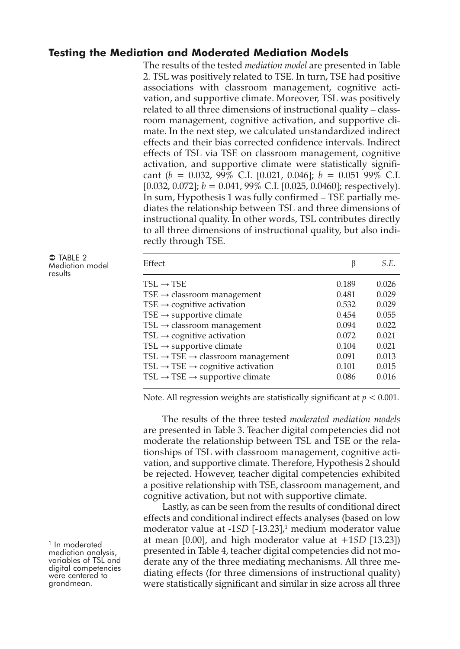# **Testing the Mediation and Moderated Mediation Models**

The results of the tested *mediation model* are presented in Table 2. TSL was positively related to TSE. In turn, TSE had positive associations with classroom management, cognitive activation, and supportive climate. Moreover, TSL was positively related to all three dimensions of instructional quality – classroom management, cognitive activation, and supportive climate. In the next step, we calculated unstandardized indirect effects and their bias corrected confidence intervals. Indirect effects of TSL via TSE on classroom management, cognitive activation, and supportive climate were statistically significant (*b =* 0.032, 99% C.I. [0.021, 0.046]; *b =* 0.051 99% C.I.  $[0.032, 0.072]$ ;  $b = 0.041, 99\%$  C.I.  $[0.025, 0.0460]$ ; respectively). In sum, Hypothesis 1 was fully confirmed – TSE partially mediates the relationship between TSL and three dimensions of instructional quality. In other words, TSL contributes directly to all three dimensions of instructional quality, but also indirectly through TSE.

| $\supset$ TABLE 2 |  |
|-------------------|--|
| Mediation model   |  |
| results           |  |

| Effect                                                                                                                                                                                                                                                                                                                                                                                                                                                    | β                                                                                      | S.E.                                                                                   |
|-----------------------------------------------------------------------------------------------------------------------------------------------------------------------------------------------------------------------------------------------------------------------------------------------------------------------------------------------------------------------------------------------------------------------------------------------------------|----------------------------------------------------------------------------------------|----------------------------------------------------------------------------------------|
| $TSL \rightarrow TSE$<br>$TSE \rightarrow$ classroom management<br>TSE $\rightarrow$ cognitive activation<br>TSE $\rightarrow$ supportive climate<br>$TSL \rightarrow$ classroom management<br>$TSL \rightarrow$ cognitive activation<br>TSL $\rightarrow$ supportive climate<br>$TSL \rightarrow TSE \rightarrow$ classroom management<br>$TSL \rightarrow TSE \rightarrow$ cognitive activation<br>$TSL \rightarrow TSE \rightarrow$ supportive climate | 0.189<br>0.481<br>0.532<br>0.454<br>0.094<br>0.072<br>0.104<br>0.091<br>0.101<br>0.086 | 0.026<br>0.029<br>0.029<br>0.055<br>0.022<br>0.021<br>0.021<br>0.013<br>0.015<br>0.016 |
|                                                                                                                                                                                                                                                                                                                                                                                                                                                           |                                                                                        |                                                                                        |

Note. All regression weights are statistically significant at *p <* 0.001.

The results of the three tested *moderated mediation models* are presented in Table 3. Teacher digital competencies did not moderate the relationship between TSL and TSE or the relationships of TSL with classroom management, cognitive activation, and supportive climate. Therefore, Hypothesis 2 should be rejected. However, teacher digital competencies exhibited a positive relationship with TSE, classroom management, and cognitive activation, but not with supportive climate.

Lastly, as can be seen from the results of conditional direct effects and conditional indirect effects analyses (based on low moderator value at -1*SD* [-13.23], <sup>1</sup> medium moderator value at mean [0.00], and high moderator value at +1*SD* [13.23]) presented in Table 4, teacher digital competencies did not moderate any of the three mediating mechanisms. All three mediating effects (for three dimensions of instructional quality) were statistically significant and similar in size across all three

<sup>1</sup> In moderated<br>mediation analysis,<br>variables of TSL and<br>digital competencies were centered to<br>grandmean.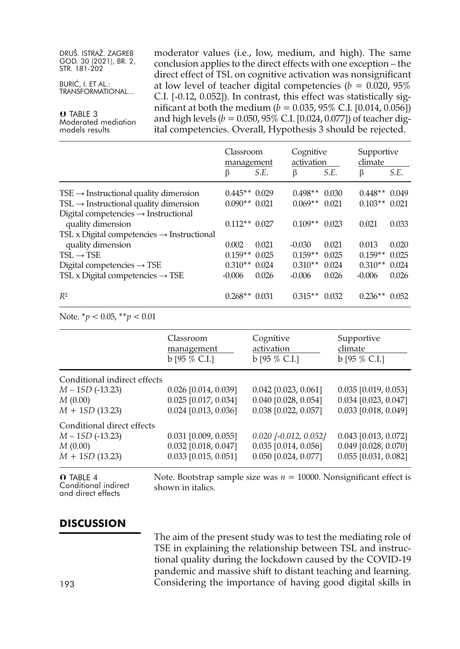BURIĆ, I. ET AL.: TRANSFORMATIONAL...

 TABLE 3 Moderated mediation models results

moderator values (i.e., low, medium, and high). The same conclusion applies to the direct effects with one exception – the direct effect of TSL on cognitive activation was nonsignificant at low level of teacher digital competencies (*b =* 0.020, 95% C.I. [-0.12, 0.052]). In contrast, this effect was statistically significant at both the medium (*b =* 0.035, 95% C.I. [0.014, 0.056]) and high levels (*b =* 0.050, 95% C.I. [0.024, 0.077]) of teacher digital competencies. Overall, Hypothesis 3 should be rejected.

|                                                                       | Classroom<br>management |       | Cognitive<br>activation |       | Supportive<br>climate |       |
|-----------------------------------------------------------------------|-------------------------|-------|-------------------------|-------|-----------------------|-------|
|                                                                       | β                       | S.E.  | β                       | S.E.  | β                     | S.E.  |
| $TSE \rightarrow$ Instructional quality dimension                     | $0.445**0.029$          |       | $0.498**$               | 0.030 | $0.448**0.049$        |       |
| $TSL \rightarrow$ Instructional quality dimension                     | $0.090**0.021$          |       | $0.069**$               | 0.021 | $0.103**$             | 0.021 |
| Digital competencies $\rightarrow$ Instructional<br>quality dimension | $0.112**0.027$          |       | $0.109**$               | 0.023 | 0.021                 | 0.033 |
| TSL x Digital competencies $\rightarrow$ Instructional                |                         |       |                         |       |                       |       |
| quality dimension                                                     | 0.002                   | 0.021 | $-0.030$                | 0.021 | 0.013                 | 0.020 |
| $TSL \rightarrow TSE$                                                 | $0.159**$               | 0.025 | $0.159**$               | 0.025 | $0.159**$             | 0.025 |
| Digital competencies $\rightarrow$ TSE                                | $0.310**$               | 0.024 | $0.310**$               | 0.024 | $0.310**$             | 0.024 |
| TSL x Digital competencies $\rightarrow$ TSE                          | $-0.006$                | 0.026 | $-0.006$                | 0.026 | $-0.006$              | 0.026 |
| $R^2$                                                                 | $0.268**$               | 0.031 | $0.315**$               | 0.032 | $0.236**$             | 0.052 |

Note. \**p <* 0.05, \*\**p <* 0.01

|                              | Classroom<br>management<br>$b$ [95 % C.I.] | Cognitive<br>activation<br>$b$ [95 % C.I.] | Supportive<br>climate<br>$b$ [95 % C.I.] |
|------------------------------|--------------------------------------------|--------------------------------------------|------------------------------------------|
| Conditional indirect effects |                                            |                                            |                                          |
| $M - 1SD (-13.23)$           | $0.026$ [0.014, 0.039]                     | $0.042$ [0.023, 0.061]                     | $0.035$ [0.019, 0.053]                   |
| M(0.00)                      | $0.025$ [0.017, 0.034]                     | 0.040 [0.028, 0.054]                       | $0.034$ [0.023, 0.047]                   |
| $M + 1SD(13.23)$             | 0.024 [0.013, 0.036]                       | 0.038 [0.022, 0.057]                       | 0.033 [0.018, 0.049]                     |
| Conditional direct effects   |                                            |                                            |                                          |
| $M - 1SD (-13.23)$           | $0.031$ [0.009, 0.055]                     | $0.020$ $[-0.012, 0.052]$                  | $0.043$ [0.013, 0.072]                   |
| M(0.00)                      | $0.032$ [0.018, 0.047]                     | $0.035$ [0.014, 0.056]                     | $0.049$ [0.028, 0.070]                   |
| $M + 1SD(13.23)$             | $0.033$ [0.015, 0.051]                     | $0.050$ [0.024, 0.077]                     | $0.055$ [0.031, 0.082]                   |
|                              |                                            |                                            |                                          |

**O** TABLE 4 Conditional indirect and direct effects

Note. Bootstrap sample size was  $n = 10000$ . Nonsignificant effect is shown in italics.

# **DISCUSSION**

The aim of the present study was to test the mediating role of TSE in explaining the relationship between TSL and instructional quality during the lockdown caused by the COVID-19 pandemic and massive shift to distant teaching and learning. Considering the importance of having good digital skills in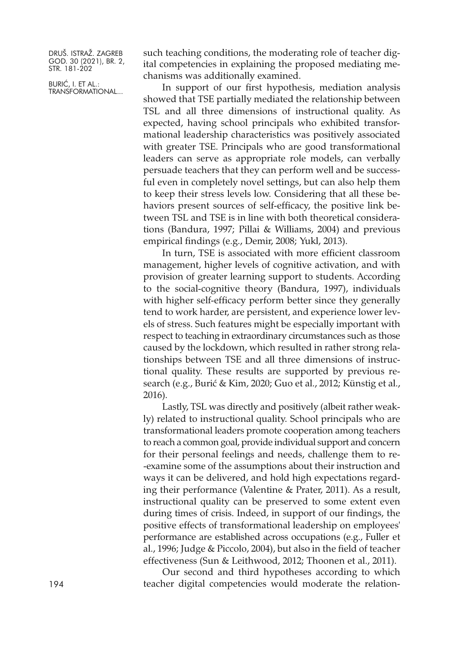BURIĆ, I. ET AL.: TRANSFORMATIONAL... such teaching conditions, the moderating role of teacher digital competencies in explaining the proposed mediating mechanisms was additionally examined.

In support of our first hypothesis, mediation analysis showed that TSE partially mediated the relationship between TSL and all three dimensions of instructional quality. As expected, having school principals who exhibited transformational leadership characteristics was positively associated with greater TSE. Principals who are good transformational leaders can serve as appropriate role models, can verbally persuade teachers that they can perform well and be successful even in completely novel settings, but can also help them to keep their stress levels low. Considering that all these behaviors present sources of self-efficacy, the positive link between TSL and TSE is in line with both theoretical considerations (Bandura, 1997; Pillai & Williams, 2004) and previous empirical findings (e.g., Demir, 2008; Yukl, 2013).

In turn, TSE is associated with more efficient classroom management, higher levels of cognitive activation, and with provision of greater learning support to students. According to the social-cognitive theory (Bandura, 1997), individuals with higher self-efficacy perform better since they generally tend to work harder, are persistent, and experience lower levels of stress. Such features might be especially important with respect to teaching in extraordinary circumstances such as those caused by the lockdown, which resulted in rather strong relationships between TSE and all three dimensions of instructional quality. These results are supported by previous research (e.g., Burić & Kim, 2020; Guo et al., 2012; Künstig et al., 2016).

Lastly, TSL was directly and positively (albeit rather weakly) related to instructional quality. School principals who are transformational leaders promote cooperation among teachers to reach a common goal, provide individual support and concern for their personal feelings and needs, challenge them to re- -examine some of the assumptions about their instruction and ways it can be delivered, and hold high expectations regarding their performance (Valentine & Prater, 2011). As a result, instructional quality can be preserved to some extent even during times of crisis. Indeed, in support of our findings, the positive effects of transformational leadership on employees' performance are established across occupations (e.g., Fuller et al., 1996; Judge & Piccolo, 2004), but also in the field of teacher effectiveness (Sun & Leithwood, 2012; Thoonen et al., 2011).

Our second and third hypotheses according to which 194 teacher digital competencies would moderate the relation-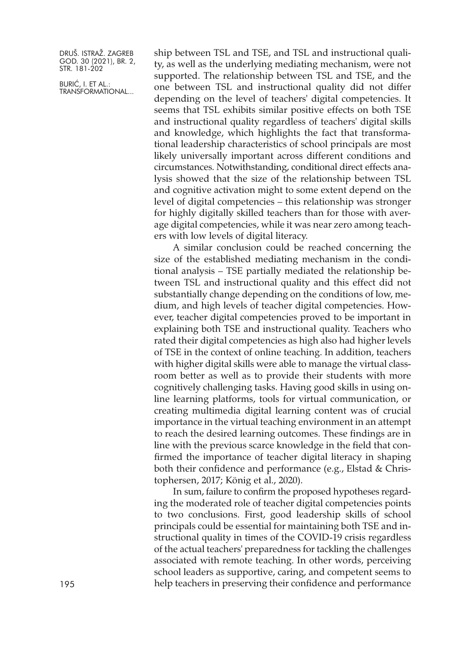BURIĆ, I. ET AL.: TRANSFORMATIONAL... ship between TSL and TSE, and TSL and instructional quality, as well as the underlying mediating mechanism, were not supported. The relationship between TSL and TSE, and the one between TSL and instructional quality did not differ depending on the level of teachers' digital competencies. It seems that TSL exhibits similar positive effects on both TSE and instructional quality regardless of teachers' digital skills and knowledge, which highlights the fact that transformational leadership characteristics of school principals are most likely universally important across different conditions and circumstances. Notwithstanding, conditional direct effects analysis showed that the size of the relationship between TSL and cognitive activation might to some extent depend on the level of digital competencies – this relationship was stronger for highly digitally skilled teachers than for those with average digital competencies, while it was near zero among teachers with low levels of digital literacy.

A similar conclusion could be reached concerning the size of the established mediating mechanism in the conditional analysis – TSE partially mediated the relationship between TSL and instructional quality and this effect did not substantially change depending on the conditions of low, medium, and high levels of teacher digital competencies. However, teacher digital competencies proved to be important in explaining both TSE and instructional quality. Teachers who rated their digital competencies as high also had higher levels of TSE in the context of online teaching. In addition, teachers with higher digital skills were able to manage the virtual classroom better as well as to provide their students with more cognitively challenging tasks. Having good skills in using online learning platforms, tools for virtual communication, or creating multimedia digital learning content was of crucial importance in the virtual teaching environment in an attempt to reach the desired learning outcomes. These findings are in line with the previous scarce knowledge in the field that confirmed the importance of teacher digital literacy in shaping both their confidence and performance (e.g., Elstad & Christophersen, 2017; König et al., 2020).

In sum, failure to confirm the proposed hypotheses regarding the moderated role of teacher digital competencies points to two conclusions. First, good leadership skills of school principals could be essential for maintaining both TSE and instructional quality in times of the COVID-19 crisis regardless of the actual teachers' preparedness for tackling the challenges associated with remote teaching. In other words, perceiving school leaders as supportive, caring, and competent seems to help teachers in preserving their confidence and performance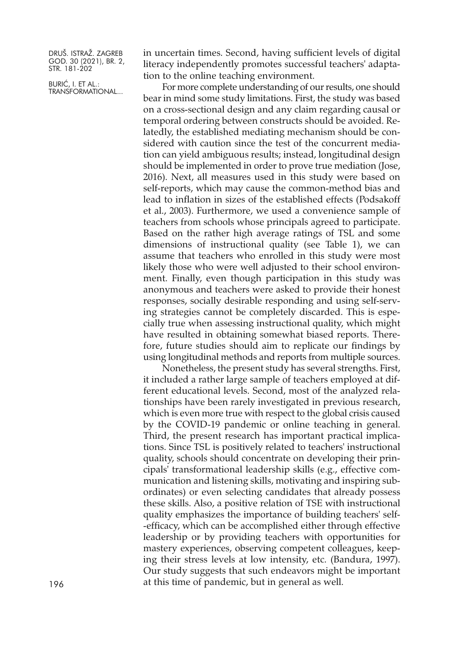BURIĆ, I. ET AL.: TRANSFORMATIONAL... in uncertain times. Second, having sufficient levels of digital literacy independently promotes successful teachers' adaptation to the online teaching environment.

For more complete understanding of our results, one should bear in mind some study limitations. First, the study was based on a cross-sectional design and any claim regarding causal or temporal ordering between constructs should be avoided. Relatedly, the established mediating mechanism should be considered with caution since the test of the concurrent mediation can yield ambiguous results; instead, longitudinal design should be implemented in order to prove true mediation (Jose, 2016). Next, all measures used in this study were based on self-reports, which may cause the common-method bias and lead to inflation in sizes of the established effects (Podsakoff et al., 2003). Furthermore, we used a convenience sample of teachers from schools whose principals agreed to participate. Based on the rather high average ratings of TSL and some dimensions of instructional quality (see Table 1), we can assume that teachers who enrolled in this study were most likely those who were well adjusted to their school environment. Finally, even though participation in this study was anonymous and teachers were asked to provide their honest responses, socially desirable responding and using self-serving strategies cannot be completely discarded. This is especially true when assessing instructional quality, which might have resulted in obtaining somewhat biased reports. Therefore, future studies should aim to replicate our findings by using longitudinal methods and reports from multiple sources.

Nonetheless, the present study has several strengths. First, it included a rather large sample of teachers employed at different educational levels. Second, most of the analyzed relationships have been rarely investigated in previous research, which is even more true with respect to the global crisis caused by the COVID-19 pandemic or online teaching in general. Third, the present research has important practical implications. Since TSL is positively related to teachers' instructional quality, schools should concentrate on developing their principals' transformational leadership skills (e.g., effective communication and listening skills, motivating and inspiring subordinates) or even selecting candidates that already possess these skills. Also, a positive relation of TSE with instructional quality emphasizes the importance of building teachers' self- -efficacy, which can be accomplished either through effective leadership or by providing teachers with opportunities for mastery experiences, observing competent colleagues, keeping their stress levels at low intensity, etc. (Bandura, 1997). Our study suggests that such endeavors might be important 196 at this time of pandemic, but in general as well.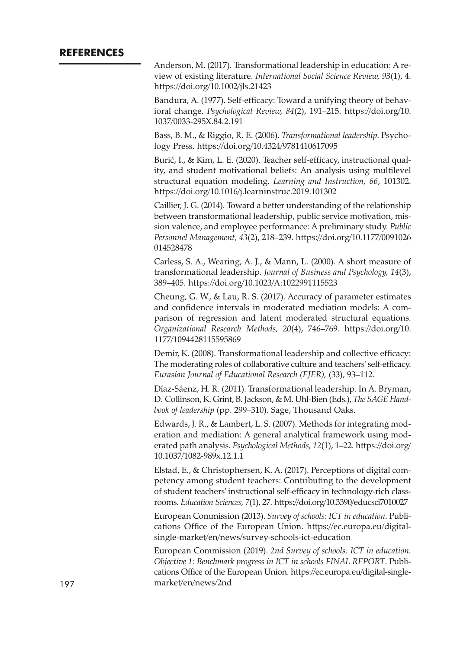Anderson, M. (2017). Transformational leadership in education: A review of existing literature. *International Social Science Review, 93*(1), 4. <https://doi.org/10.1002/jls.21423>

Bandura, A. (1977). Self-efficacy: Toward a unifying theory of behavioral change. *Psychological Review, 84*(2), 191–215. [https://doi.org/10.](https://doi.org/10.1037/0033-295X.84.2.191) [1037/0033-295X.84.2.191](https://doi.org/10.1037/0033-295X.84.2.191)

Bass, B. M., & Riggio, R. E. (2006). *Transformational leadership*. Psychology Press. <https://doi.org/10.4324/9781410617095>

Burić, I., & Kim, L. E. (2020). Teacher self-efficacy, instructional quality, and student motivational beliefs: An analysis using multilevel structural equation modeling. *Learning and Instruction, 66*, 101302. <https://doi.org/10.1016/j.learninstruc.2019.101302>

Caillier, J. G. (2014). Toward a better understanding of the relationship between transformational leadership, public service motivation, mission valence, and employee performance: A preliminary study. *Public Personnel Management, 43*(2), 218–239. [https://doi.org/10.1177/0091026](https://doi.org/10.1177/0091026014528478) [014528478](https://doi.org/10.1177/0091026014528478)

Carless, S. A., Wearing, A. J., & Mann, L. (2000). A short measure of transformational leadership. *Journal of Business and Psychology, 14*(3), 389–405. <https://doi.org/10.1023/A:1022991115523>

Cheung, G. W., & Lau, R. S. (2017). Accuracy of parameter estimates and confidence intervals in moderated mediation models: A comparison of regression and latent moderated structural equations. *Organizational Research Methods, 20*(4), 746–769. [https://doi.org/10.](https://doi.org/10.1177/1094428115595869) [1177/1094428115595869](https://doi.org/10.1177/1094428115595869)

Demir, K. (2008). Transformational leadership and collective efficacy: The moderating roles of collaborative culture and teachers' self-efficacy. *Eurasian Journal of Educational Research (EJER),* (33), 93–112.

Díaz-Sáenz, H. R. (2011). Transformational leadership. In A. Bryman, D. Collinson, K. Grint, B. Jackson, & M. Uhl-Bien (Eds.), *The SAGE Handbook of leadership* (pp. 299–310). Sage, Thousand Oaks.

Edwards, J. R., & Lambert, L. S. (2007). Methods for integrating moderation and mediation: A general analytical framework using moderated path analysis. *Psychological Methods, 12*(1), 1–22. [https://doi.org/](https://doi.org/10.1037/1082-989x.12.1.1) [10.1037/1082-989x.12.1.1](https://doi.org/10.1037/1082-989x.12.1.1)

Elstad, E., & Christophersen, K. A. (2017). Perceptions of digital competency among student teachers: Contributing to the development of student teachers' instructional self-efficacy in technology-rich classrooms. *Education Sciences, 7*(1), 27. <https://doi.org/10.3390/educsci7010027>

European Commission (2013). *Survey of schools: ICT in education*. Publications Office of the European Union. [https://ec.europa.eu/digital](https://ec.europa.eu/digital-single-market/en/news/survey-schools-ict-education)[single-market/en/news/survey-schools-ict-education](https://ec.europa.eu/digital-single-market/en/news/survey-schools-ict-education)

European Commission (2019). *2nd Survey of schools: ICT in education. Objective 1: Benchmark progress in ICT in schools FINAL REPORT*. Publications Office of the European Union. [https://ec.europa.eu/digital-single-](https://ec.europa.eu/digital-single-market/en/news/2nd)197 [market/en/news/2nd](https://ec.europa.eu/digital-single-market/en/news/2nd)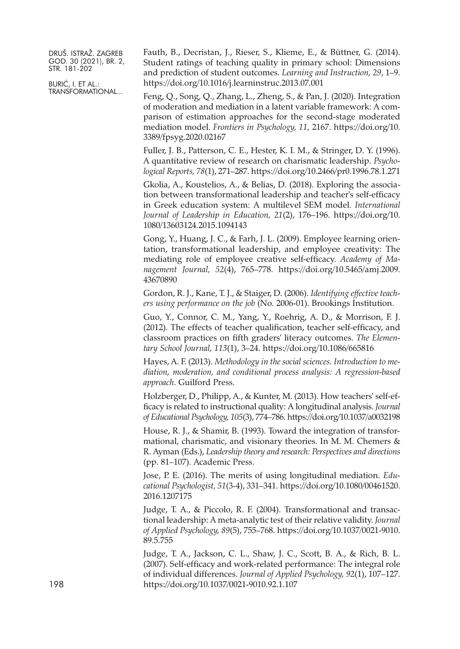BURIĆ, I. ET AL.: TRANSFORMATIONAL... Fauth, B., Decristan, J., Rieser, S., Klieme, E., & Büttner, G. (2014). Student ratings of teaching quality in primary school: Dimensions and prediction of student outcomes. *Learning and Instruction, 29*, 1–9. <https://doi.org/10.1016/j.learninstruc.2013.07.001>

Feng, Q., Song, Q., Zhang, L., Zheng, S., & Pan, J. (2020). Integration of moderation and mediation in a latent variable framework: A comparison of estimation approaches for the second-stage moderated mediation model. *Frontiers in Psychology, 11,* 2167. [https://doi.org/10.](https://doi.org/10.3389/fpsyg.2020.02167) [3389/fpsyg.2020.02167](https://doi.org/10.3389/fpsyg.2020.02167)

Fuller, J. B., Patterson, C. E., Hester, K. I. M., & Stringer, D. Y. (1996). A quantitative review of research on charismatic leadership. *Psychological Reports, 78*(1), 271–287. <https://doi.org/10.2466/pr0.1996.78.1.271>

Gkolia, A., Koustelios, A., & Belias, D. (2018). Exploring the association between transformational leadership and teacher's self-efficacy in Greek education system: A multilevel SEM model. *International Journal of Leadership in Education, 21*(2), 176–196. [https://doi.org/10.](https://doi.org/10.1080/13603124.2015.1094143) [1080/13603124.2015.1094143](https://doi.org/10.1080/13603124.2015.1094143)

Gong, Y., Huang, J. C., & Farh, J. L. (2009). Employee learning orientation, transformational leadership, and employee creativity: The mediating role of employee creative self-efficacy. *Academy of Management Journal, 52*(4), 765–778. [https://doi.org/10.5465/amj.2009.](https://doi.org/10.5465/amj.2009.43670890) [43670890](https://doi.org/10.5465/amj.2009.43670890)

Gordon, R. J., Kane, T. J., & Staiger, D. (2006). *Identifying effective teachers using performance on the job* (No. 2006-01). Brookings Institution.

Guo, Y., Connor, C. M., Yang, Y., Roehrig, A. D., & Morrison, F. J. (2012). The effects of teacher qualification, teacher self-efficacy, and classroom practices on fifth graders' literacy outcomes. *The Elementary School Journal, 113*(1), 3–24. <https://doi.org/10.1086/665816>

Hayes, A. F. (2013). *Methodology in the social sciences. Introduction to mediation, moderation, and conditional process analysis: A regression-based approach*. Guilford Press.

Holzberger, D., Philipp, A., & Kunter, M. (2013). How teachers' self-efficacy is related to instructional quality: A longitudinal analysis. *Journal of Educational Psychology, 105*(3), 774–786. <https://doi.org/10.1037/a0032198>

House, R. J., & Shamir, B. (1993). Toward the integration of transformational, charismatic, and visionary theories. In M. M. Chemers & R. Ayman (Eds.), *Leadership theory and research: Perspectives and directions* (pp. 81–107). Academic Press.

Jose, P. E. (2016). The merits of using longitudinal mediation. *Educational Psychologist, 51*(3-4), 331–341. [https://doi.org/10.1080/00461520.](https://doi.org/10.1080/00461520.2016.1207175) [2016.1207175](https://doi.org/10.1080/00461520.2016.1207175)

Judge, T. A., & Piccolo, R. F. (2004). Transformational and transactional leadership: A meta-analytic test of their relative validity. *Journal of Applied Psychology, 89*(5), 755–768. [https://doi.org/10.1037/0021-9010.](https://doi.org/10.1037/0021-9010.89.5.755) [89.5.755](https://doi.org/10.1037/0021-9010.89.5.755)

Judge, T. A., Jackson, C. L., Shaw, J. C., Scott, B. A., & Rich, B. L. (2007). Self-efficacy and work-related performance: The integral role of individual differences. *Journal of Applied Psychology, 92*(1), 107–127. 198 <https://doi.org/10.1037/0021-9010.92.1.107>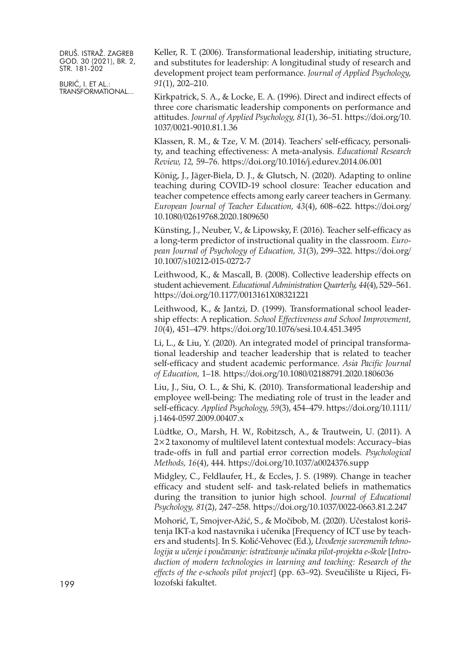BURIĆ, I. ET AL.: TRANSFORMATIONAL... Keller, R. T. (2006). Transformational leadership, initiating structure, and substitutes for leadership: A longitudinal study of research and development project team performance. *Journal of Applied Psychology, 91*(1), 202–210.

Kirkpatrick, S. A., & Locke, E. A. (1996). Direct and indirect effects of three core charismatic leadership components on performance and attitudes. *Journal of Applied Psychology, 81*(1), 36–51. [https://doi.org/10.](https://doi.org/10.1037/0021-9010.81.1.36) [1037/0021-9010.81.1.36](https://doi.org/10.1037/0021-9010.81.1.36)

Klassen, R. M., & Tze, V. M. (2014). Teachers' self-efficacy, personality, and teaching effectiveness: A meta-analysis. *Educational Research Review, 12,* 59–76. <https://doi.org/10.1016/j.edurev.2014.06.001>

König, J., Jäger-Biela, D. J., & Glutsch, N. (2020). Adapting to online teaching during COVID-19 school closure: Teacher education and teacher competence effects among early career teachers in Germany. *European Journal of Teacher Education, 43*(4), 608–622. [https://doi.org/](https://doi.org/10.1080/02619768.2020.1809650) [10.1080/02619768.2020.1809650](https://doi.org/10.1080/02619768.2020.1809650)

Künsting, J., Neuber, V., & Lipowsky, F. (2016). Teacher self-efficacy as a long-term predictor of instructional quality in the classroom. *European Journal of Psychology of Education, 31*(3), 299–322. [https://doi.org/](https://doi.org/10.1007/s10212-015-0272-7) [10.1007/s10212-015-0272-7](https://doi.org/10.1007/s10212-015-0272-7)

Leithwood, K., & Mascall, B. (2008). Collective leadership effects on student achievement. *Educational Administration Quarterly, 44*(4), 529–561. <https://doi.org/10.1177/0013161X08321221>

Leithwood, K., & Jantzi, D. (1999). Transformational school leadership effects: A replication. *School Effectiveness and School Improvement, 10*(4), 451–479. <https://doi.org/10.1076/sesi.10.4.451.3495>

Li, L., & Liu, Y. (2020). An integrated model of principal transformational leadership and teacher leadership that is related to teacher self-efficacy and student academic performance. *Asia Pacific Journal of Education,* 1–18. <https://doi.org/10.1080/02188791.2020.1806036>

Liu, J., Siu, O. L., & Shi, K. (2010). Transformational leadership and employee well-being: The mediating role of trust in the leader and self-efficacy. *Applied Psychology, 59*(3), 454–479. [https://doi.org/10.1111/](https://doi.org/10.1111/j.1464-0597.2009.00407.x) [j.1464-0597.2009.00407.x](https://doi.org/10.1111/j.1464-0597.2009.00407.x)

Lüdtke, O., Marsh, H. W., Robitzsch, A., & Trautwein, U. (2011). A 2×2 taxonomy of multilevel latent contextual models: Accuracy–bias trade-offs in full and partial error correction models. *Psychological Methods, 16*(4), 444. <https://doi.org/10.1037/a0024376.supp>

Midgley, C., Feldlaufer, H., & Eccles, J. S. (1989). Change in teacher efficacy and student self- and task-related beliefs in mathematics during the transition to junior high school. *Journal of Educational Psychology, 81*(2), 247–258. <https://doi.org/10.1037/0022-0663.81.2.247>

Mohorić, T., Smojver-Ažić, S., & Močibob, M. (2020). Učestalost korištenja IKT-a kod nastavnika i učenika [Frequency of ICT use by teachers and students]. In S. Kolić-Vehovec (Ed.), *Uvođenje suvremenih tehnologija u učenje i poučavanje: istraživanje učinaka pilot-projekta e-škole* [*Introduction of modern technologies in learning and teaching: Research of the effects of the e-schools pilot project*] (pp. 63–92). Sveučilište u Rijeci, Filozofski fakultet.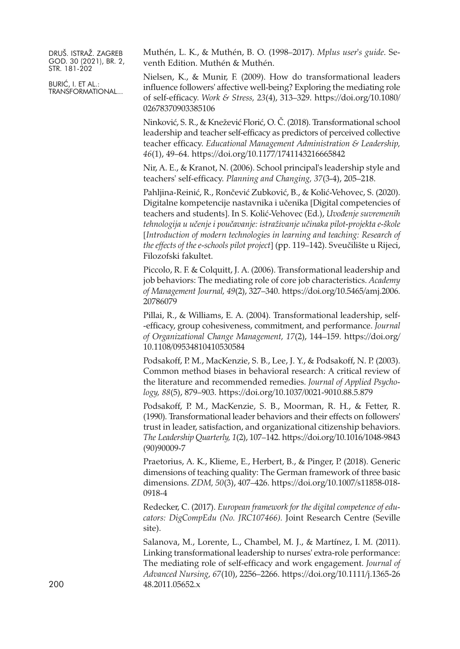BURIĆ, I. ET AL.: TRANSFORMATIONAL... Muthén, L. K., & Muthén, B. O. (1998–2017). *Mplus user's guide*. Seventh Edition. Muthén & Muthén.

Nielsen, K., & Munir, F. (2009). How do transformational leaders influence followers' affective well-being? Exploring the mediating role of self-efficacy. *Work & Stress, 23*(4), 313–329. [https://doi.org/10.1080/](https://doi.org/10.1080/02678370903385106) [02678370903385106](https://doi.org/10.1080/02678370903385106)

Ninković, S. R., & Knežević Florić, O. Č. (2018). Transformational school leadership and teacher self-efficacy as predictors of perceived collective teacher efficacy. *Educational Management Administration & Leadership, 46*(1), 49–64. <https://doi.org/10.1177/1741143216665842>

Nir, A. E., & Kranot, N. (2006). School principal's leadership style and teachers' self-efficacy. *Planning and Changing, 37*(3-4), 205–218.

Pahljina-Reinić, R., Rončević Zubković, B., & Kolić-Vehovec, S. (2020). Digitalne kompetencije nastavnika i učenika [Digital competencies of teachers and students]. In S. Kolić-Vehovec (Ed.), *Uvođenje suvremenih tehnologija u učenje i poučavanje: istraživanje učinaka pilot-projekta e-škole* [*Introduction of modern technologies in learning and teaching: Research of the effects of the e-schools pilot project*] (pp. 119–142). Sveučilište u Rijeci, Filozofski fakultet.

Piccolo, R. F. & Colquitt, J. A. (2006). Transformational leadership and job behaviors: The mediating role of core job characteristics. *Academy of Management Journal, 49*(2), 327–340. [https://doi.org/10.5465/amj.2006.](https://doi.org/10.5465/amj.2006.20786079) [20786079](https://doi.org/10.5465/amj.2006.20786079)

Pillai, R., & Williams, E. A. (2004). Transformational leadership, self- -efficacy, group cohesiveness, commitment, and performance. *Journal of Organizational Change Management, 17*(2), 144–159. [https://doi.org/](https://doi.org/10.1108/09534810410530584) [10.1108/09534810410530584](https://doi.org/10.1108/09534810410530584)

Podsakoff, P. M., MacKenzie, S. B., Lee, J. Y., & Podsakoff, N. P. (2003). Common method biases in behavioral research: A critical review of the literature and recommended remedies. *Journal of Applied Psychology, 88*(5), 879–903. <https://doi.org/10.1037/0021-9010.88.5.879>

Podsakoff, P. M., MacKenzie, S. B., Moorman, R. H., & Fetter, R. (1990). Transformational leader behaviors and their effects on followers' trust in leader, satisfaction, and organizational citizenship behaviors. *The Leadership Quarterly, 1*(2), 107–142. [https://doi.org/10.1016/1048-9843](https://doi.org/10.1016/1048-9843(90)90009-7) [\(90\)90009-7](https://doi.org/10.1016/1048-9843(90)90009-7)

Praetorius, A. K., Klieme, E., Herbert, B., & Pinger, P. (2018). Generic dimensions of teaching quality: The German framework of three basic dimensions. *ZDM, 50*(3), 407–426. [https://doi.org/10.1007/s11858-018-](https://doi.org/10.1007/s11858-018-0918-4) [0918-4](https://doi.org/10.1007/s11858-018-0918-4)

Redecker, C. (2017). *European framework for the digital competence of educators: DigCompEdu (No. JRC107466).* Joint Research Centre (Seville site).

Salanova, M., Lorente, L., Chambel, M. J., & Martínez, I. M. (2011). Linking transformational leadership to nurses' extra-role performance: The mediating role of self-efficacy and work engagement. *Journal of Advanced Nursing, 67*(10), 2256–2266. [https://doi.org/10.1111/j.1365-26](https://doi.org/10.1111/j.1365-2648.2011.05652.x) 200 [48.2011.05652.x](https://doi.org/10.1111/j.1365-2648.2011.05652.x)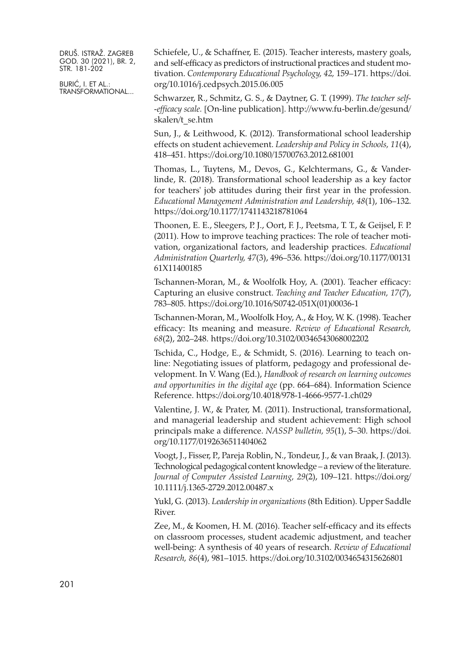BURIĆ, I. ET AL.: TRANSFORMATIONAL... Schiefele, U., & Schaffner, E. (2015). Teacher interests, mastery goals, and self-efficacy as predictors of instructional practices and student motivation. *Contemporary Educational Psychology, 42,* 159–171. [https://doi.](https://doi.org/10.1016/j.cedpsych.2015.06.005) [org/10.1016/j.cedpsych.2015.06.005](https://doi.org/10.1016/j.cedpsych.2015.06.005)

Schwarzer, R., Schmitz, G. S., & Daytner, G. T. (1999). *The teacher self- -efficacy scale.* [On-line publication]. [http://www.fu-berlin.de/gesund/](http://www.fu-berlin.de/gesund/skalen/t_se.htm) [skalen/t\\_se.htm](http://www.fu-berlin.de/gesund/skalen/t_se.htm)

Sun, J., & Leithwood, K. (2012). Transformational school leadership effects on student achievement. *Leadership and Policy in Schools, 11*(4), 418–451. <https://doi.org/10.1080/15700763.2012.681001>

Thomas, L., Tuytens, M., Devos, G., Kelchtermans, G., & Vanderlinde, R. (2018). Transformational school leadership as a key factor for teachers' job attitudes during their first year in the profession. *Educational Management Administration and Leadership, 48*(1), 106–132. <https://doi.org/10.1177/1741143218781064>

Thoonen, E. E., Sleegers, P. J., Oort, F. J., Peetsma, T. T., & Geijsel, F. P. (2011). How to improve teaching practices: The role of teacher motivation, organizational factors, and leadership practices. *Educational Administration Quarterly, 47*(3), 496–536. [https://doi.org/10.1177/00131](https://doi.org/10.1177/0013161X11400185) [61X11400185](https://doi.org/10.1177/0013161X11400185)

Tschannen-Moran, M., & Woolfolk Hoy, A. (2001). Teacher efficacy: Capturing an elusive construct. *Teaching and Teacher Education, 17*(7), 783–805. [https://doi.org/10.1016/S0742-051X\(01\)00036-1](https://doi.org/10.1016/S0742-051X(01)00036-1)

Tschannen-Moran, M., Woolfolk Hoy, A., & Hoy, W. K. (1998). Teacher efficacy: Its meaning and measure. *Review of Educational Research, 68*(2), 202–248. <https://doi.org/10.3102/00346543068002202>

Tschida, C., Hodge, E., & Schmidt, S. (2016). Learning to teach online: Negotiating issues of platform, pedagogy and professional development. In V. Wang (Ed.), *Handbook of research on learning outcomes and opportunities in the digital age* (pp. 664–684). Information Science Reference. <https://doi.org/10.4018/978-1-4666-9577-1.ch029>

Valentine, J. W., & Prater, M. (2011). Instructional, transformational, and managerial leadership and student achievement: High school principals make a difference. *NASSP bulletin, 95*(1), 5–30. [https://doi.](https://doi.org/10.1177/0192636511404062) [org/10.1177/0192636511404062](https://doi.org/10.1177/0192636511404062)

Voogt, J., Fisser, P., Pareja Roblin, N., Tondeur, J., & van Braak, J. (2013). Technological pedagogical content knowledge – a review of the literature. *Journal of Computer Assisted Learning, 29*(2), 109–121. [https://doi.org/](https://doi.org/10.1111/j.1365-2729.2012.00487.x) [10.1111/j.1365-2729.2012.00487.x](https://doi.org/10.1111/j.1365-2729.2012.00487.x)

Yukl, G. (2013). *Leadership in organizations* (8th Edition). Upper Saddle River.

Zee, M., & Koomen, H. M. (2016). Teacher self-efficacy and its effects on classroom processes, student academic adjustment, and teacher well-being: A synthesis of 40 years of research. *Review of Educational Research, 86*(4), 981–1015. <https://doi.org/10.3102/0034654315626801>